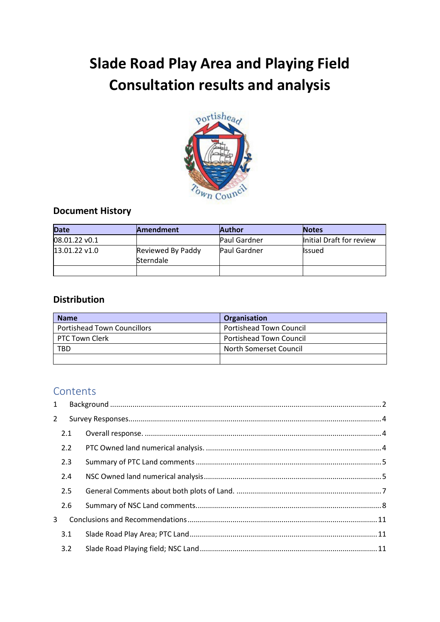# **Slade Road Play Area and Playing Field Consultation results and analysis**



# **Document History**

| <b>Date</b>     | <b>Amendment</b>               | <b>Author</b>       | <b>Notes</b>             |
|-----------------|--------------------------------|---------------------|--------------------------|
| 08.01.22 v0.1   |                                | Paul Gardner        | Initial Draft for review |
| $13.01.22$ v1.0 | Reviewed By Paddy<br>Sterndale | <b>Paul Gardner</b> | <b>Issued</b>            |
|                 |                                |                     |                          |

# **Distribution**

| <b>Name</b>                        | Organisation                   |
|------------------------------------|--------------------------------|
| <b>Portishead Town Councillors</b> | Portishead Town Council        |
| PTC Town Clerk                     | <b>Portishead Town Council</b> |
| TBD                                | North Somerset Council         |
|                                    |                                |

# Contents

| $\mathbf{1}$ |     |  |
|--------------|-----|--|
| $2^{\circ}$  |     |  |
|              | 2.1 |  |
|              | 2.2 |  |
|              | 2.3 |  |
|              | 2.4 |  |
|              | 2.5 |  |
|              | 2.6 |  |
| 3            |     |  |
|              | 3.1 |  |
|              | 3.2 |  |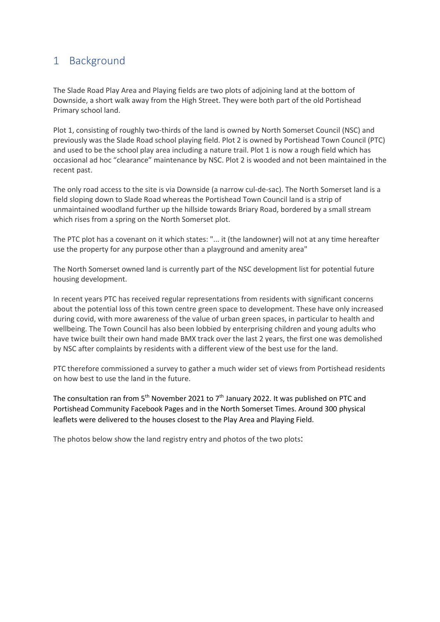# <span id="page-1-0"></span>1 Background

The Slade Road Play Area and Playing fields are two plots of adjoining land at the bottom of Downside, a short walk away from the High Street. They were both part of the old Portishead Primary school land.

Plot 1, consisting of roughly two-thirds of the land is owned by North Somerset Council (NSC) and previously was the Slade Road school playing field. Plot 2 is owned by Portishead Town Council (PTC) and used to be the school play area including a nature trail. Plot 1 is now a rough field which has occasional ad hoc "clearance" maintenance by NSC. Plot 2 is wooded and not been maintained in the recent past.

The only road access to the site is via Downside (a narrow cul-de-sac). The North Somerset land is a field sloping down to Slade Road whereas the Portishead Town Council land is a strip of unmaintained woodland further up the hillside towards Briary Road, bordered by a small stream which rises from a spring on the North Somerset plot.

The PTC plot has a covenant on it which states: "... it (the landowner) will not at any time hereafter use the property for any purpose other than a playground and amenity area"

The North Somerset owned land is currently part of the NSC development list for potential future housing development.

In recent years PTC has received regular representations from residents with significant concerns about the potential loss of this town centre green space to development. These have only increased during covid, with more awareness of the value of urban green spaces, in particular to health and wellbeing. The Town Council has also been lobbied by enterprising children and young adults who have twice built their own hand made BMX track over the last 2 years, the first one was demolished by NSC after complaints by residents with a different view of the best use for the land.

PTC therefore commissioned a survey to gather a much wider set of views from Portishead residents on how best to use the land in the future.

The consultation ran from 5<sup>th</sup> November 2021 to 7<sup>th</sup> January 2022. It was published on PTC and Portishead Community Facebook Pages and in the North Somerset Times. Around 300 physical leaflets were delivered to the houses closest to the Play Area and Playing Field.

The photos below show the land registry entry and photos of the two plots: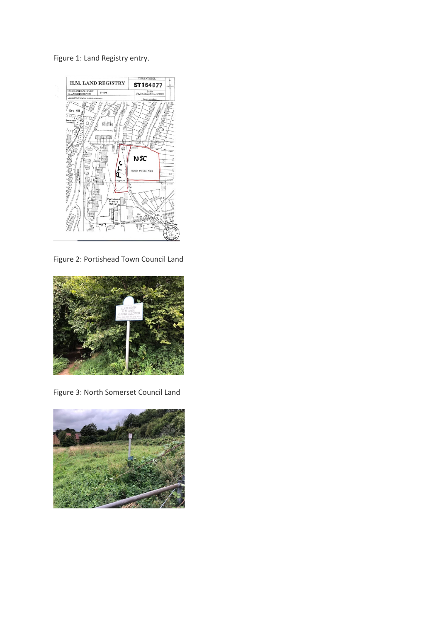Figure 1: Land Registry entry.



Figure 2: Portishead Town Council Land



Figure 3: North Somerset Council Land

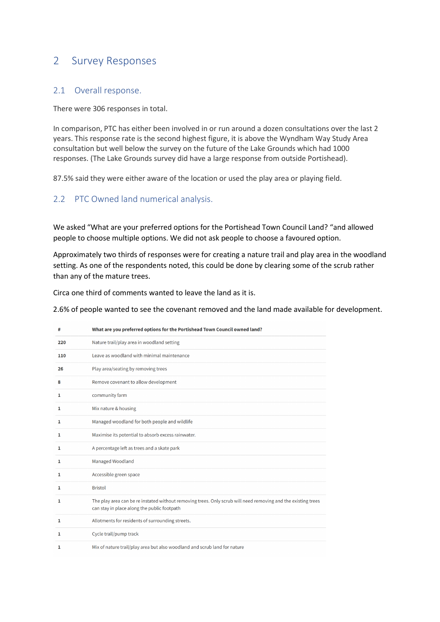# <span id="page-3-0"></span>2 Survey Responses

#### <span id="page-3-1"></span>2.1 Overall response.

There were 306 responses in total.

In comparison, PTC has either been involved in or run around a dozen consultations over the last 2 years. This response rate is the second highest figure, it is above the Wyndham Way Study Area consultation but well below the survey on the future of the Lake Grounds which had 1000 responses. (The Lake Grounds survey did have a large response from outside Portishead).

87.5% said they were either aware of the location or used the play area or playing field.

### <span id="page-3-2"></span>2.2 PTC Owned land numerical analysis.

We asked "What are your preferred options for the Portishead Town Council Land? "and allowed people to choose multiple options. We did not ask people to choose a favoured option.

Approximately two thirds of responses were for creating a nature trail and play area in the woodland setting. As one of the respondents noted, this could be done by clearing some of the scrub rather than any of the mature trees.

Circa one third of comments wanted to leave the land as it is.

2.6% of people wanted to see the covenant removed and the land made available for development.

| #   | What are you preferred options for the Portishead Town Council owned land?                                                                                   |
|-----|--------------------------------------------------------------------------------------------------------------------------------------------------------------|
| 220 | Nature trail/play area in woodland setting                                                                                                                   |
| 110 | Leave as woodland with minimal maintenance                                                                                                                   |
| 26  | Play area/seating by removing trees                                                                                                                          |
| 8   | Remove covenant to allow development                                                                                                                         |
| 1   | community farm                                                                                                                                               |
| 1   | Mix nature & housing                                                                                                                                         |
| 1   | Managed woodland for both people and wildlife                                                                                                                |
| 1   | Maximise its potential to absorb excess rainwater.                                                                                                           |
| 1   | A percentage left as trees and a skate park                                                                                                                  |
| 1   | Managed Woodland                                                                                                                                             |
| 1   | Accessible green space                                                                                                                                       |
| 1   | <b>Bristol</b>                                                                                                                                               |
| 1   | The play area can be re instated without removing trees. Only scrub will need removing and the existing trees<br>can stay in place along the public footpath |
| 1   | Allotments for residents of surrounding streets.                                                                                                             |
| 1   | Cycle trail/pump track                                                                                                                                       |
| 1   | Mix of nature trail/play area but also woodland and scrub land for nature                                                                                    |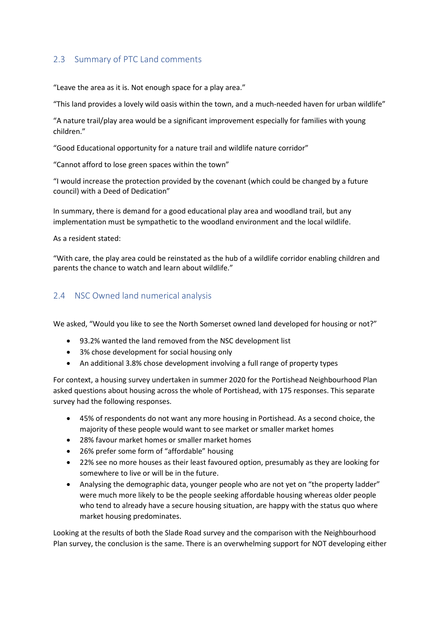### <span id="page-4-0"></span>2.3 Summary of PTC Land comments

"Leave the area as it is. Not enough space for a play area."

"This land provides a lovely wild oasis within the town, and a much-needed haven for urban wildlife"

"A nature trail/play area would be a significant improvement especially for families with young children."

"Good Educational opportunity for a nature trail and wildlife nature corridor"

"Cannot afford to lose green spaces within the town"

"I would increase the protection provided by the covenant (which could be changed by a future council) with a Deed of Dedication"

In summary, there is demand for a good educational play area and woodland trail, but any implementation must be sympathetic to the woodland environment and the local wildlife.

As a resident stated:

"With care, the play area could be reinstated as the hub of a wildlife corridor enabling children and parents the chance to watch and learn about wildlife."

### <span id="page-4-1"></span>2.4 NSC Owned land numerical analysis

We asked, "Would you like to see the North Somerset owned land developed for housing or not?"

- 93.2% wanted the land removed from the NSC development list
- 3% chose development for social housing only
- An additional 3.8% chose development involving a full range of property types

For context, a housing survey undertaken in summer 2020 for the Portishead Neighbourhood Plan asked questions about housing across the whole of Portishead, with 175 responses. This separate survey had the following responses.

- 45% of respondents do not want any more housing in Portishead. As a second choice, the majority of these people would want to see market or smaller market homes
- 28% favour market homes or smaller market homes
- 26% prefer some form of "affordable" housing
- 22% see no more houses as their least favoured option, presumably as they are looking for somewhere to live or will be in the future.
- Analysing the demographic data, younger people who are not yet on "the property ladder" were much more likely to be the people seeking affordable housing whereas older people who tend to already have a secure housing situation, are happy with the status quo where market housing predominates.

Looking at the results of both the Slade Road survey and the comparison with the Neighbourhood Plan survey, the conclusion is the same. There is an overwhelming support for NOT developing either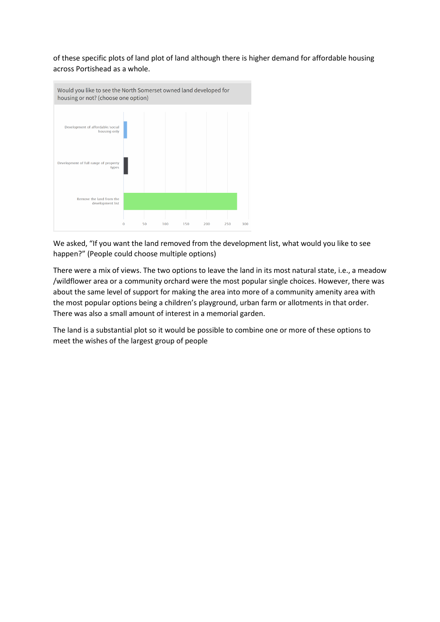of these specific plots of land plot of land although there is higher demand for affordable housing across Portishead as a whole.



We asked, "If you want the land removed from the development list, what would you like to see happen?" (People could choose multiple options)

There were a mix of views. The two options to leave the land in its most natural state, i.e., a meadow /wildflower area or a community orchard were the most popular single choices. However, there was about the same level of support for making the area into more of a community amenity area with the most popular options being a children's playground, urban farm or allotments in that order. There was also a small amount of interest in a memorial garden.

The land is a substantial plot so it would be possible to combine one or more of these options to meet the wishes of the largest group of people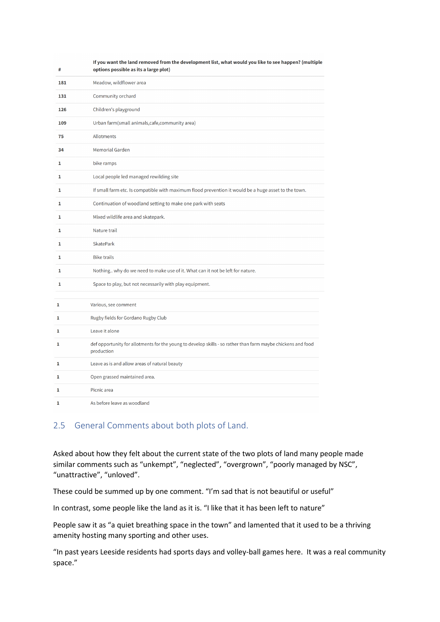| #   | If you want the land removed from the development list, what would you like to see happen? (multiple<br>options possible as its a large plot) |
|-----|-----------------------------------------------------------------------------------------------------------------------------------------------|
| 181 | Meadow, wildflower area                                                                                                                       |
| 131 | Community orchard                                                                                                                             |
| 126 | Children's playground                                                                                                                         |
| 109 | Urban farm(small animals, cafe, community area)                                                                                               |
| 75  | <b>Allotments</b>                                                                                                                             |
| 34  | <b>Memorial Garden</b>                                                                                                                        |
| 1   | bike ramps                                                                                                                                    |
| 1   | Local people led managed rewilding site                                                                                                       |
| 1   | If small farm etc. Is compatible with maximum flood prevention it would be a huge asset to the town.                                          |
| 1   | Continuation of woodland setting to make one park with seats                                                                                  |
| 1   | Mixed wildlife area and skatepark.                                                                                                            |
| 1   | Nature trail                                                                                                                                  |
| 1   | <b>SkatePark</b>                                                                                                                              |
| 1   | <b>Bike trails</b>                                                                                                                            |
| 1   | Nothing why do we need to make use of it. What can it not be left for nature.                                                                 |
| 1   | Space to play, but not necessarily with play equipment.                                                                                       |
| 1   | Various, see comment                                                                                                                          |
| 1   | Rugby fields for Gordano Rugby Club                                                                                                           |
| 1   | Leave it alone                                                                                                                                |
| 1   | def opportunity for allotments for the young to develop skills - so rather than farm maybe chickens and food<br>production                    |
| 1   | Leave as is and allow areas of natural beauty                                                                                                 |
| 1   | Open grassed maintained area.                                                                                                                 |
| 1   | Picnic area                                                                                                                                   |
| 1   | As before leave as woodland                                                                                                                   |

### <span id="page-6-0"></span>2.5 General Comments about both plots of Land.

Asked about how they felt about the current state of the two plots of land many people made similar comments such as "unkempt", "neglected", "overgrown", "poorly managed by NSC", "unattractive", "unloved".

These could be summed up by one comment. "I'm sad that is not beautiful or useful"

In contrast, some people like the land as it is. "I like that it has been left to nature"

People saw it as "a quiet breathing space in the town" and lamented that it used to be a thriving amenity hosting many sporting and other uses.

"In past years Leeside residents had sports days and volley-ball games here. It was a real community space."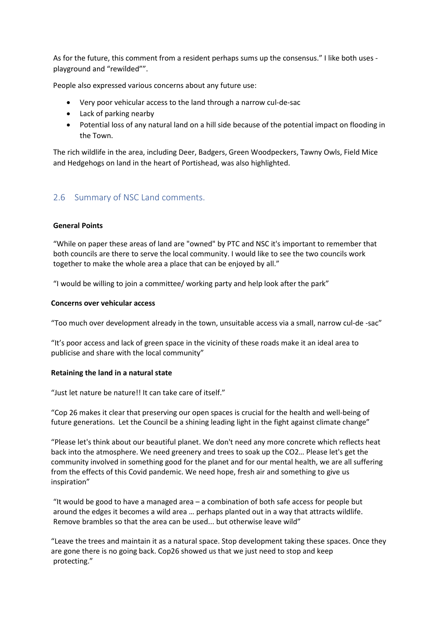As for the future, this comment from a resident perhaps sums up the consensus." I like both uses playground and "rewilded"".

People also expressed various concerns about any future use:

- Very poor vehicular access to the land through a narrow cul-de-sac
- Lack of parking nearby
- Potential loss of any natural land on a hill side because of the potential impact on flooding in the Town.

The rich wildlife in the area, including Deer, Badgers, Green Woodpeckers, Tawny Owls, Field Mice and Hedgehogs on land in the heart of Portishead, was also highlighted.

### <span id="page-7-0"></span>2.6 Summary of NSC Land comments.

#### **General Points**

"While on paper these areas of land are "owned" by PTC and NSC it's important to remember that both councils are there to serve the local community. I would like to see the two councils work together to make the whole area a place that can be enjoyed by all."

"I would be willing to join a committee/ working party and help look after the park"

#### **Concerns over vehicular access**

"Too much over development already in the town, unsuitable access via a small, narrow cul-de -sac"

"It's poor access and lack of green space in the vicinity of these roads make it an ideal area to publicise and share with the local community"

#### **Retaining the land in a natural state**

"Just let nature be nature!! It can take care of itself."

"Cop 26 makes it clear that preserving our open spaces is crucial for the health and well-being of future generations. Let the Council be a shining leading light in the fight against climate change"

"Please let's think about our beautiful planet. We don't need any more concrete which reflects heat back into the atmosphere. We need greenery and trees to soak up the CO2… Please let's get the community involved in something good for the planet and for our mental health, we are all suffering from the effects of this Covid pandemic. We need hope, fresh air and something to give us inspiration"

"It would be good to have a managed area – a combination of both safe access for people but around the edges it becomes a wild area … perhaps planted out in a way that attracts wildlife. Remove brambles so that the area can be used... but otherwise leave wild"

"Leave the trees and maintain it as a natural space. Stop development taking these spaces. Once they are gone there is no going back. Cop26 showed us that we just need to stop and keep protecting."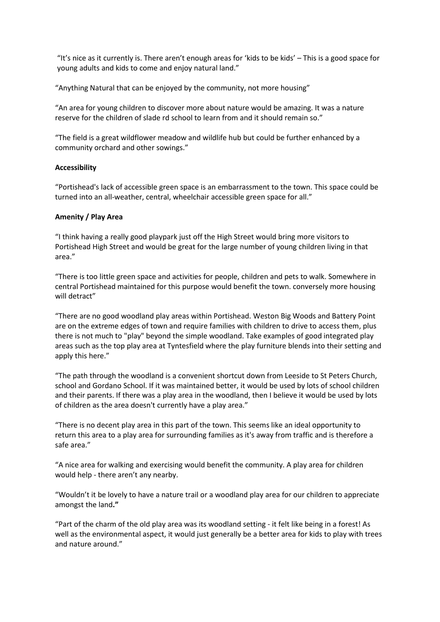"It's nice as it currently is. There aren't enough areas for 'kids to be kids' – This is a good space for young adults and kids to come and enjoy natural land."

"Anything Natural that can be enjoyed by the community, not more housing"

"An area for young children to discover more about nature would be amazing. It was a nature reserve for the children of slade rd school to learn from and it should remain so."

"The field is a great wildflower meadow and wildlife hub but could be further enhanced by a community orchard and other sowings."

#### **Accessibility**

"Portishead's lack of accessible green space is an embarrassment to the town. This space could be turned into an all-weather, central, wheelchair accessible green space for all."

#### **Amenity / Play Area**

"I think having a really good playpark just off the High Street would bring more visitors to Portishead High Street and would be great for the large number of young children living in that area."

"There is too little green space and activities for people, children and pets to walk. Somewhere in central Portishead maintained for this purpose would benefit the town. conversely more housing will detract"

"There are no good woodland play areas within Portishead. Weston Big Woods and Battery Point are on the extreme edges of town and require families with children to drive to access them, plus there is not much to "play" beyond the simple woodland. Take examples of good integrated play areas such as the top play area at Tyntesfield where the play furniture blends into their setting and apply this here."

"The path through the woodland is a convenient shortcut down from Leeside to St Peters Church, school and Gordano School. If it was maintained better, it would be used by lots of school children and their parents. If there was a play area in the woodland, then I believe it would be used by lots of children as the area doesn't currently have a play area."

"There is no decent play area in this part of the town. This seems like an ideal opportunity to return this area to a play area for surrounding families as it's away from traffic and is therefore a safe area."

"A nice area for walking and exercising would benefit the community. A play area for children would help - there aren't any nearby.

"Wouldn't it be lovely to have a nature trail or a woodland play area for our children to appreciate amongst the land**."**

"Part of the charm of the old play area was its woodland setting - it felt like being in a forest! As well as the environmental aspect, it would just generally be a better area for kids to play with trees and nature around."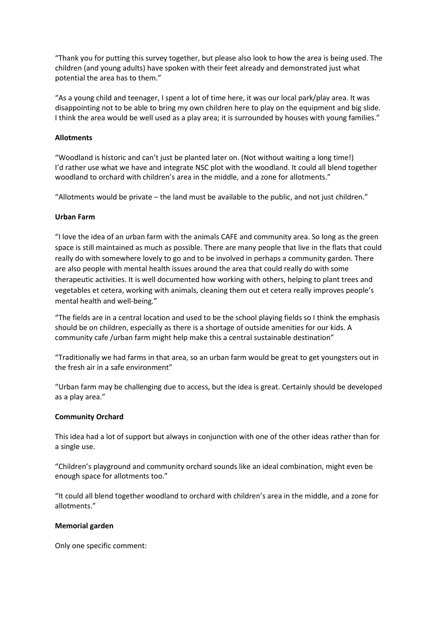"Thank you for putting this survey together, but please also look to how the area is being used. The children (and young adults) have spoken with their feet already and demonstrated just what potential the area has to them."

"As a young child and teenager, I spent a lot of time here, it was our local park/play area. It was disappointing not to be able to bring my own children here to play on the equipment and big slide. I think the area would be well used as a play area; it is surrounded by houses with young families."

#### **Allotments**

"Woodland is historic and can't just be planted later on. (Not without waiting a long time!) I'd rather use what we have and integrate NSC plot with the woodland. It could all blend together woodland to orchard with children's area in the middle, and a zone for allotments."

"Allotments would be private – the land must be available to the public, and not just children."

#### **Urban Farm**

"I love the idea of an urban farm with the animals CAFE and community area. So long as the green space is still maintained as much as possible. There are many people that live in the flats that could really do with somewhere lovely to go and to be involved in perhaps a community garden. There are also people with mental health issues around the area that could really do with some therapeutic activities. It is well documented how working with others, helping to plant trees and vegetables et cetera, working with animals, cleaning them out et cetera really improves people's mental health and well-being."

"The fields are in a central location and used to be the school playing fields so I think the emphasis should be on children, especially as there is a shortage of outside amenities for our kids. A community cafe /urban farm might help make this a central sustainable destination"

"Traditionally we had farms in that area, so an urban farm would be great to get youngsters out in the fresh air in a safe environment"

"Urban farm may be challenging due to access, but the idea is great. Certainly should be developed as a play area."

#### **Community Orchard**

This idea had a lot of support but always in conjunction with one of the other ideas rather than for a single use.

"Children's playground and community orchard sounds like an ideal combination, might even be enough space for allotments too."

"It could all blend together woodland to orchard with children's area in the middle, and a zone for allotments."

#### **Memorial garden**

Only one specific comment: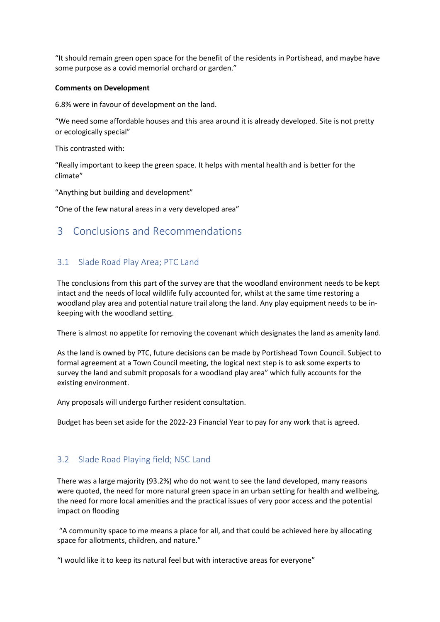"It should remain green open space for the benefit of the residents in Portishead, and maybe have some purpose as a covid memorial orchard or garden."

#### **Comments on Development**

6.8% were in favour of development on the land.

"We need some affordable houses and this area around it is already developed. Site is not pretty or ecologically special"

This contrasted with:

"Really important to keep the green space. It helps with mental health and is better for the climate"

"Anything but building and development"

"One of the few natural areas in a very developed area"

## <span id="page-10-0"></span>3 Conclusions and Recommendations

### <span id="page-10-1"></span>3.1 Slade Road Play Area; PTC Land

The conclusions from this part of the survey are that the woodland environment needs to be kept intact and the needs of local wildlife fully accounted for, whilst at the same time restoring a woodland play area and potential nature trail along the land. Any play equipment needs to be inkeeping with the woodland setting.

There is almost no appetite for removing the covenant which designates the land as amenity land.

As the land is owned by PTC, future decisions can be made by Portishead Town Council. Subject to formal agreement at a Town Council meeting, the logical next step is to ask some experts to survey the land and submit proposals for a woodland play area" which fully accounts for the existing environment.

Any proposals will undergo further resident consultation.

Budget has been set aside for the 2022-23 Financial Year to pay for any work that is agreed.

#### <span id="page-10-2"></span>3.2 Slade Road Playing field; NSC Land

There was a large majority (93.2%) who do not want to see the land developed, many reasons were quoted, the need for more natural green space in an urban setting for health and wellbeing, the need for more local amenities and the practical issues of very poor access and the potential impact on flooding

"A community space to me means a place for all, and that could be achieved here by allocating space for allotments, children, and nature."

"I would like it to keep its natural feel but with interactive areas for everyone"